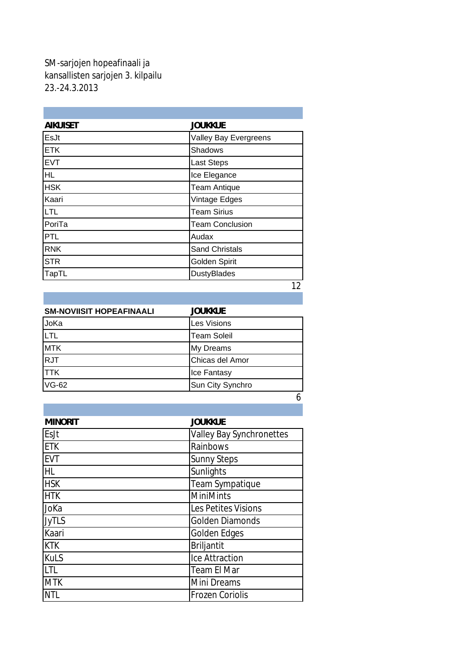## SM-sarjojen hopeafinaali ja kansallisten sarjojen 3. kilpailu 23.-24.3.2013

| <b>AIKUISET</b> | <b>JOUKKUE</b>         |
|-----------------|------------------------|
| EsJt            | Valley Bay Evergreens  |
| <b>ETK</b>      | Shadows                |
| <b>EVT</b>      | <b>Last Steps</b>      |
| <b>HL</b>       | Ice Elegance           |
| <b>HSK</b>      | <b>Team Antique</b>    |
| Kaari           | Vintage Edges          |
| <b>LTL</b>      | <b>Team Sirius</b>     |
| PoriTa          | <b>Team Conclusion</b> |
| <b>PTL</b>      | Audax                  |
| <b>RNK</b>      | <b>Sand Christals</b>  |
| <b>STR</b>      | Golden Spirit          |
| <b>TapTL</b>    | <b>DustyBlades</b>     |
|                 | $\sim$                 |

12

| <b>SM-NOVIISIT HOPEAFINAALI</b> | <b>JOUKKUE</b>     |  |
|---------------------------------|--------------------|--|
| JoKa                            | Les Visions        |  |
| <b>LTL</b>                      | <b>Team Soleil</b> |  |
| <b>MTK</b>                      | <b>My Dreams</b>   |  |
| <b>RJT</b>                      | Chicas del Amor    |  |
| <b>TTK</b>                      | Ice Fantasy        |  |
| <b>VG-62</b>                    | Sun City Synchro   |  |
|                                 |                    |  |

| <b>MINORIT</b> | <b>JOUKKUE</b>                  |
|----------------|---------------------------------|
| EsJt           | <b>Valley Bay Synchronettes</b> |
| <b>ETK</b>     | Rainbows                        |
| <b>EVT</b>     | <b>Sunny Steps</b>              |
| .HL            | Sunlights                       |
| <b>HSK</b>     | Team Sympatique                 |
| <b>HTK</b>     | <b>MiniMints</b>                |
| JoKa           | Les Petites Visions             |
| <b>JyTLS</b>   | <b>Golden Diamonds</b>          |
| Kaari          | Golden Edges                    |
| KTK            | <b>Briljantit</b>               |
| KuLS           | Ice Attraction                  |
| <b>LTL</b>     | <b>Team El Mar</b>              |
| <b>MTK</b>     | Mini Dreams                     |
| NTL            | <b>Frozen Coriolis</b>          |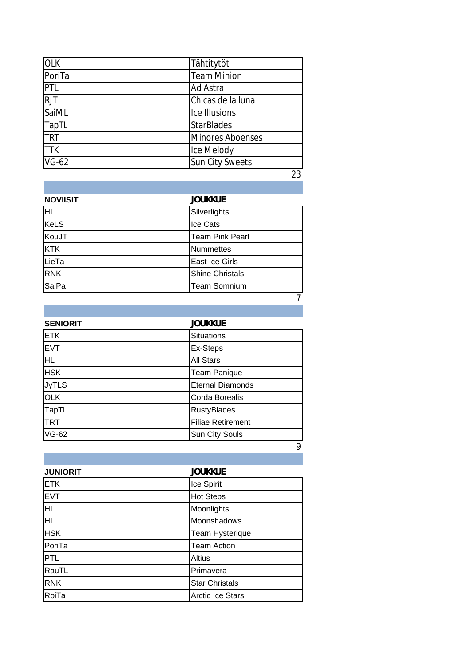| <b>OLK</b>   | Tähtitytöt              |
|--------------|-------------------------|
| PoriTa       | <b>Team Minion</b>      |
| PTL          | <b>Ad Astra</b>         |
| <b>RJT</b>   | Chicas de la luna       |
| SaiML        | Ice Illusions           |
| <b>TapTL</b> | <b>StarBlades</b>       |
| <b>TRT</b>   | <b>Minores Aboenses</b> |
| <b>TTK</b>   | Ice Melody              |
| $VG-62$      | <b>Sun City Sweets</b>  |
|              | າາ                      |

23

| <b>NOVIISIT</b> | <b>JOUKKUE</b>         |
|-----------------|------------------------|
| HL              | Silverlights           |
| <b>KeLS</b>     | Ice Cats               |
| KouJT           | <b>Team Pink Pearl</b> |
| <b>KTK</b>      | <b>Nummettes</b>       |
| LieTa           | East Ice Girls         |
| <b>RNK</b>      | <b>Shine Christals</b> |
| SalPa           | Team Somnium           |
|                 |                        |

| <b>SENIORIT</b> | <b>JOUKKUE</b>           |
|-----------------|--------------------------|
| <b>ETK</b>      | <b>Situations</b>        |
| <b>EVT</b>      | Ex-Steps                 |
| HL              | <b>All Stars</b>         |
| <b>HSK</b>      | <b>Team Panique</b>      |
| <b>JyTLS</b>    | <b>Eternal Diamonds</b>  |
| <b>OLK</b>      | Corda Borealis           |
| TapTL           | <b>RustyBlades</b>       |
| <b>TRT</b>      | <b>Filiae Retirement</b> |
| VG-62           | Sun City Souls           |
|                 | 9                        |

| <b>JUNIORIT</b> | <b>JOUKKUE</b>          |
|-----------------|-------------------------|
| <b>ETK</b>      | Ice Spirit              |
| <b>EVT</b>      | <b>Hot Steps</b>        |
| <b>HL</b>       | Moonlights              |
| HL.             | Moonshadows             |
| <b>HSK</b>      | <b>Team Hysterique</b>  |
| PoriTa          | <b>Team Action</b>      |
| <b>PTL</b>      | <b>Altius</b>           |
| RauTL           | Primavera               |
| <b>RNK</b>      | <b>Star Christals</b>   |
| RoiTa           | <b>Arctic Ice Stars</b> |